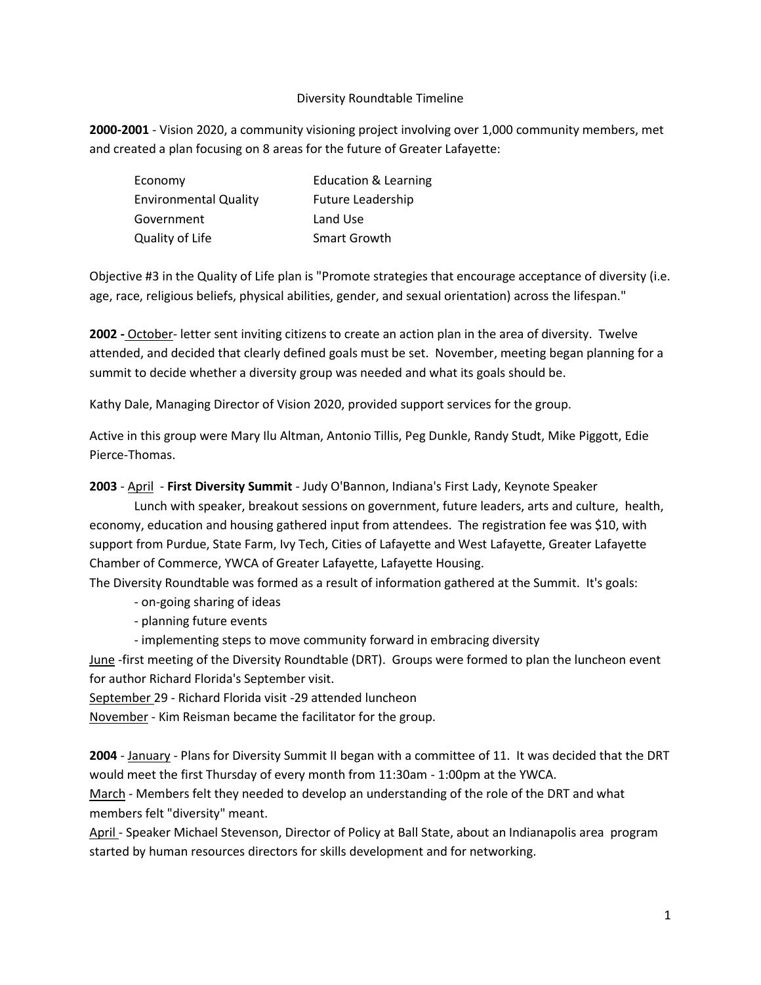#### Diversity Roundtable Timeline

**2000-2001** - Vision 2020, a community visioning project involving over 1,000 community members, met and created a plan focusing on 8 areas for the future of Greater Lafayette:

| Economy                      | <b>Education &amp; Learning</b> |
|------------------------------|---------------------------------|
| <b>Environmental Quality</b> | <b>Future Leadership</b>        |
| Government                   | Land Use                        |
| Quality of Life              | Smart Growth                    |

Objective #3 in the Quality of Life plan is "Promote strategies that encourage acceptance of diversity (i.e. age, race, religious beliefs, physical abilities, gender, and sexual orientation) across the lifespan."

**2002 -** October- letter sent inviting citizens to create an action plan in the area of diversity. Twelve attended, and decided that clearly defined goals must be set. November, meeting began planning for a summit to decide whether a diversity group was needed and what its goals should be.

Kathy Dale, Managing Director of Vision 2020, provided support services for the group.

Active in this group were Mary Ilu Altman, Antonio Tillis, Peg Dunkle, Randy Studt, Mike Piggott, Edie Pierce-Thomas.

**2003** - April - **First Diversity Summit** - Judy O'Bannon, Indiana's First Lady, Keynote Speaker

Lunch with speaker, breakout sessions on government, future leaders, arts and culture, health, economy, education and housing gathered input from attendees. The registration fee was \$10, with support from Purdue, State Farm, Ivy Tech, Cities of Lafayette and West Lafayette, Greater Lafayette Chamber of Commerce, YWCA of Greater Lafayette, Lafayette Housing.

The Diversity Roundtable was formed as a result of information gathered at the Summit. It's goals:

- on-going sharing of ideas

- planning future events
- implementing steps to move community forward in embracing diversity

June -first meeting of the Diversity Roundtable (DRT). Groups were formed to plan the luncheon event for author Richard Florida's September visit.

September 29 - Richard Florida visit -29 attended luncheon

November - Kim Reisman became the facilitator for the group.

**2004** - January - Plans for Diversity Summit II began with a committee of 11. It was decided that the DRT would meet the first Thursday of every month from 11:30am - 1:00pm at the YWCA.

March - Members felt they needed to develop an understanding of the role of the DRT and what members felt "diversity" meant.

April - Speaker Michael Stevenson, Director of Policy at Ball State, about an Indianapolis area program started by human resources directors for skills development and for networking.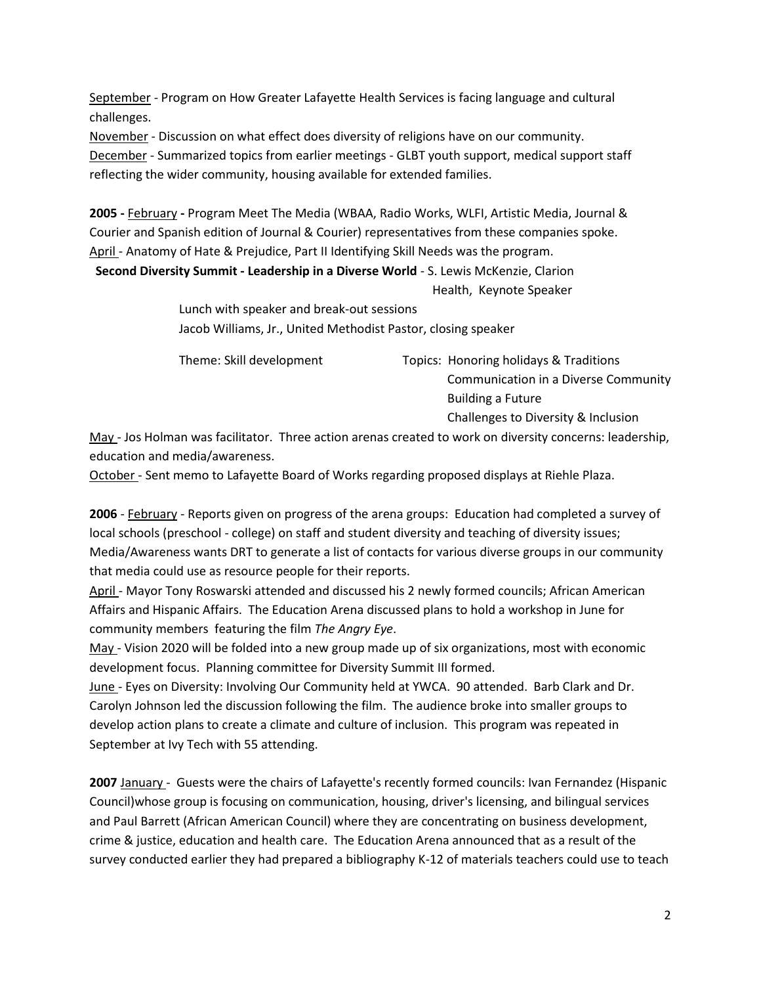September - Program on How Greater Lafayette Health Services is facing language and cultural challenges.

November - Discussion on what effect does diversity of religions have on our community.

December - Summarized topics from earlier meetings - GLBT youth support, medical support staff reflecting the wider community, housing available for extended families.

**2005 -** February **-** Program Meet The Media (WBAA, Radio Works, WLFI, Artistic Media, Journal & Courier and Spanish edition of Journal & Courier) representatives from these companies spoke. April - Anatomy of Hate & Prejudice, Part II Identifying Skill Needs was the program.

**Second Diversity Summit - Leadership in a Diverse World** - S. Lewis McKenzie, Clarion Health, Keynote Speaker

> Lunch with speaker and break-out sessions Jacob Williams, Jr., United Methodist Pastor, closing speaker

Theme: Skill development Topics: Honoring holidays & Traditions Communication in a Diverse Community Building a Future

Challenges to Diversity & Inclusion

May - Jos Holman was facilitator. Three action arenas created to work on diversity concerns: leadership, education and media/awareness.

October - Sent memo to Lafayette Board of Works regarding proposed displays at Riehle Plaza.

**2006** - February - Reports given on progress of the arena groups: Education had completed a survey of local schools (preschool - college) on staff and student diversity and teaching of diversity issues; Media/Awareness wants DRT to generate a list of contacts for various diverse groups in our community that media could use as resource people for their reports.

April - Mayor Tony Roswarski attended and discussed his 2 newly formed councils; African American Affairs and Hispanic Affairs. The Education Arena discussed plans to hold a workshop in June for community members featuring the film *The Angry Eye*.

May - Vision 2020 will be folded into a new group made up of six organizations, most with economic development focus. Planning committee for Diversity Summit III formed.

June - Eyes on Diversity: Involving Our Community held at YWCA. 90 attended. Barb Clark and Dr. Carolyn Johnson led the discussion following the film. The audience broke into smaller groups to develop action plans to create a climate and culture of inclusion. This program was repeated in September at Ivy Tech with 55 attending.

**2007** January - Guests were the chairs of Lafayette's recently formed councils: Ivan Fernandez (Hispanic Council)whose group is focusing on communication, housing, driver's licensing, and bilingual services and Paul Barrett (African American Council) where they are concentrating on business development, crime & justice, education and health care. The Education Arena announced that as a result of the survey conducted earlier they had prepared a bibliography K-12 of materials teachers could use to teach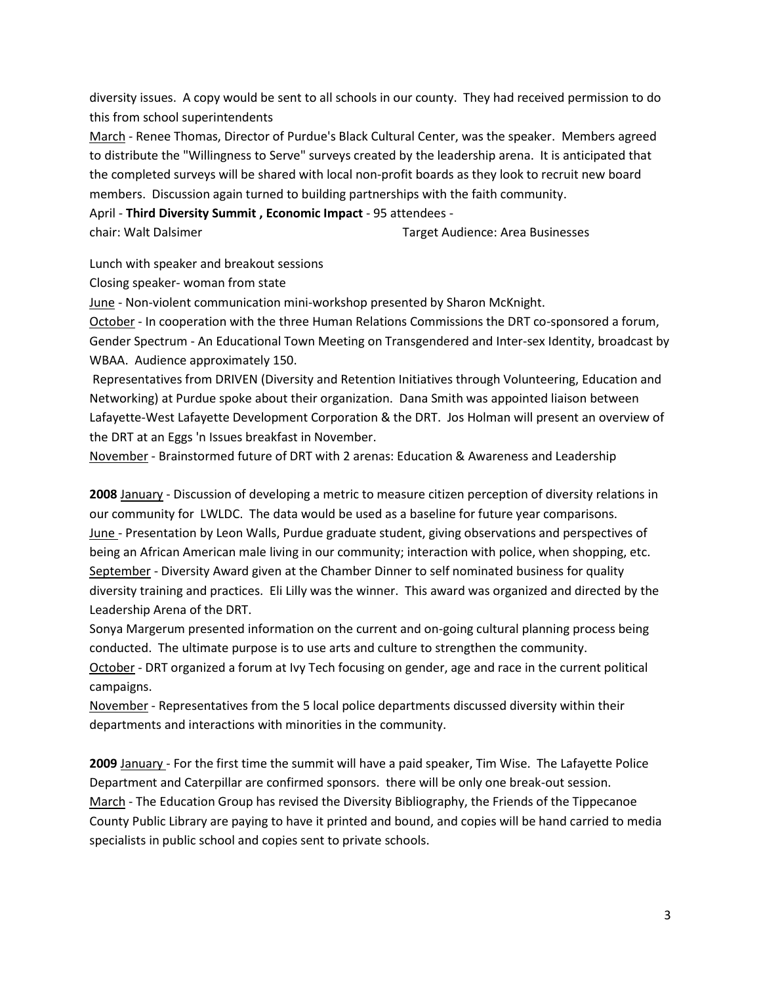diversity issues. A copy would be sent to all schools in our county. They had received permission to do this from school superintendents

March - Renee Thomas, Director of Purdue's Black Cultural Center, was the speaker. Members agreed to distribute the "Willingness to Serve" surveys created by the leadership arena. It is anticipated that the completed surveys will be shared with local non-profit boards as they look to recruit new board members. Discussion again turned to building partnerships with the faith community.

April - **Third Diversity Summit , Economic Impact** - 95 attendees -

chair: Walt Dalsimer Target Audience: Area Businesses

Lunch with speaker and breakout sessions

Closing speaker- woman from state

June - Non-violent communication mini-workshop presented by Sharon McKnight.

October - In cooperation with the three Human Relations Commissions the DRT co-sponsored a forum, Gender Spectrum - An Educational Town Meeting on Transgendered and Inter-sex Identity, broadcast by WBAA. Audience approximately 150.

Representatives from DRIVEN (Diversity and Retention Initiatives through Volunteering, Education and Networking) at Purdue spoke about their organization. Dana Smith was appointed liaison between Lafayette-West Lafayette Development Corporation & the DRT. Jos Holman will present an overview of the DRT at an Eggs 'n Issues breakfast in November.

November - Brainstormed future of DRT with 2 arenas: Education & Awareness and Leadership

**2008** January - Discussion of developing a metric to measure citizen perception of diversity relations in our community for LWLDC. The data would be used as a baseline for future year comparisons. June - Presentation by Leon Walls, Purdue graduate student, giving observations and perspectives of being an African American male living in our community; interaction with police, when shopping, etc. September - Diversity Award given at the Chamber Dinner to self nominated business for quality diversity training and practices. Eli Lilly was the winner. This award was organized and directed by the Leadership Arena of the DRT.

Sonya Margerum presented information on the current and on-going cultural planning process being conducted. The ultimate purpose is to use arts and culture to strengthen the community. October - DRT organized a forum at Ivy Tech focusing on gender, age and race in the current political campaigns.

November - Representatives from the 5 local police departments discussed diversity within their departments and interactions with minorities in the community.

**2009** January - For the first time the summit will have a paid speaker, Tim Wise. The Lafayette Police Department and Caterpillar are confirmed sponsors. there will be only one break-out session. March - The Education Group has revised the Diversity Bibliography, the Friends of the Tippecanoe County Public Library are paying to have it printed and bound, and copies will be hand carried to media specialists in public school and copies sent to private schools.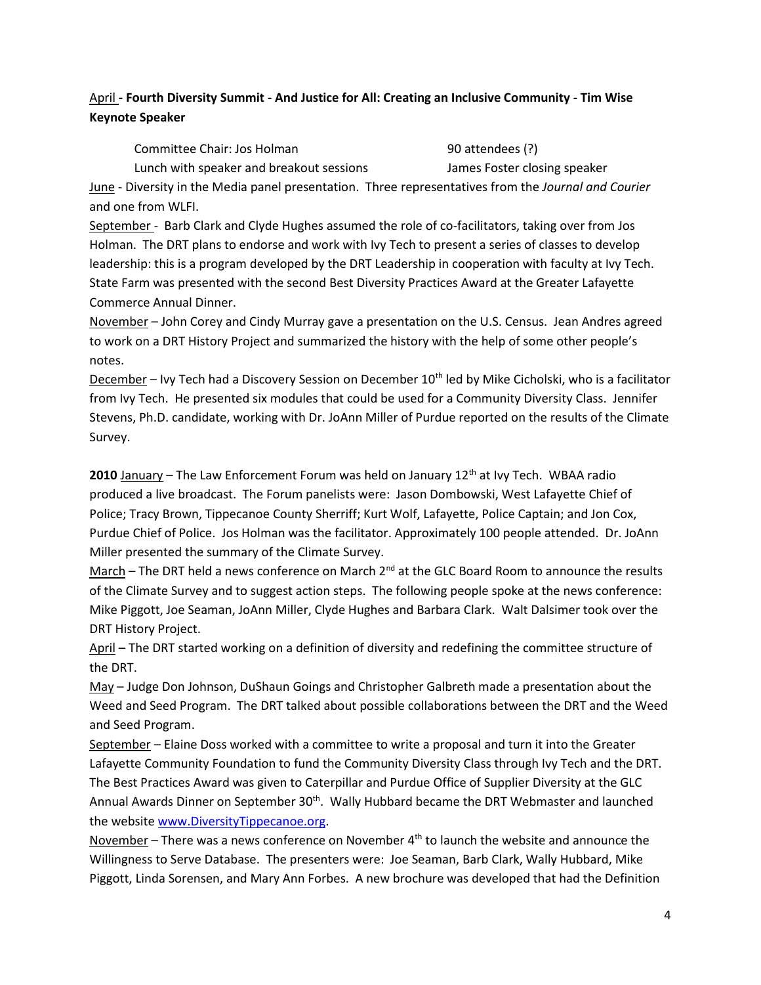# April **- Fourth Diversity Summit - And Justice for All: Creating an Inclusive Community - Tim Wise Keynote Speaker**

Committee Chair: Jos Holman 90 attendees (?)

Lunch with speaker and breakout sessions James Foster closing speaker

June - Diversity in the Media panel presentation. Three representatives from the *Journal and Courier* and one from WLFI.

September - Barb Clark and Clyde Hughes assumed the role of co-facilitators, taking over from Jos Holman. The DRT plans to endorse and work with Ivy Tech to present a series of classes to develop leadership: this is a program developed by the DRT Leadership in cooperation with faculty at Ivy Tech. State Farm was presented with the second Best Diversity Practices Award at the Greater Lafayette Commerce Annual Dinner.

November – John Corey and Cindy Murray gave a presentation on the U.S. Census. Jean Andres agreed to work on a DRT History Project and summarized the history with the help of some other people's notes.

December – Ivy Tech had a Discovery Session on December 10<sup>th</sup> led by Mike Cicholski, who is a facilitator from Ivy Tech. He presented six modules that could be used for a Community Diversity Class. Jennifer Stevens, Ph.D. candidate, working with Dr. JoAnn Miller of Purdue reported on the results of the Climate Survey.

**2010** January – The Law Enforcement Forum was held on January 12<sup>th</sup> at Ivy Tech. WBAA radio produced a live broadcast. The Forum panelists were: Jason Dombowski, West Lafayette Chief of Police; Tracy Brown, Tippecanoe County Sherriff; Kurt Wolf, Lafayette, Police Captain; and Jon Cox, Purdue Chief of Police. Jos Holman was the facilitator. Approximately 100 people attended. Dr. JoAnn Miller presented the summary of the Climate Survey.

March – The DRT held a news conference on March  $2<sup>nd</sup>$  at the GLC Board Room to announce the results of the Climate Survey and to suggest action steps. The following people spoke at the news conference: Mike Piggott, Joe Seaman, JoAnn Miller, Clyde Hughes and Barbara Clark. Walt Dalsimer took over the DRT History Project.

April – The DRT started working on a definition of diversity and redefining the committee structure of the DRT.

May – Judge Don Johnson, DuShaun Goings and Christopher Galbreth made a presentation about the Weed and Seed Program. The DRT talked about possible collaborations between the DRT and the Weed and Seed Program.

September – Elaine Doss worked with a committee to write a proposal and turn it into the Greater Lafayette Community Foundation to fund the Community Diversity Class through Ivy Tech and the DRT. The Best Practices Award was given to Caterpillar and Purdue Office of Supplier Diversity at the GLC Annual Awards Dinner on September  $30<sup>th</sup>$ . Wally Hubbard became the DRT Webmaster and launched the website [www.DiversityTippecanoe.org.](http://www.diversitytippecanoe.org/)

November – There was a news conference on November  $4<sup>th</sup>$  to launch the website and announce the Willingness to Serve Database. The presenters were: Joe Seaman, Barb Clark, Wally Hubbard, Mike Piggott, Linda Sorensen, and Mary Ann Forbes. A new brochure was developed that had the Definition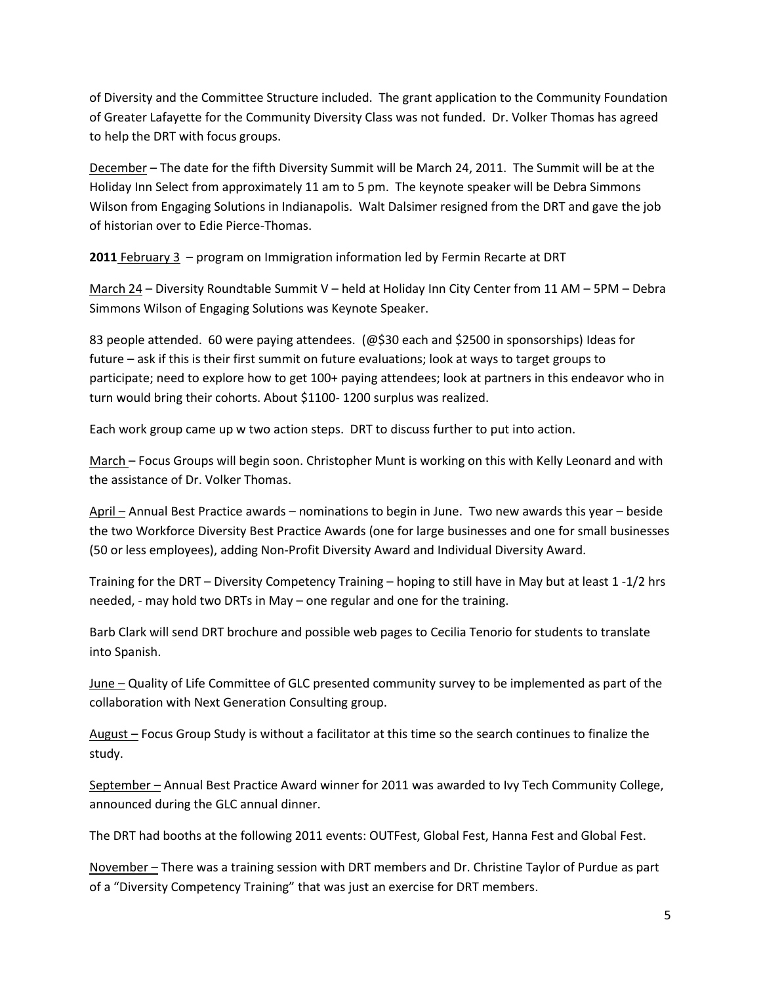of Diversity and the Committee Structure included. The grant application to the Community Foundation of Greater Lafayette for the Community Diversity Class was not funded. Dr. Volker Thomas has agreed to help the DRT with focus groups.

December – The date for the fifth Diversity Summit will be March 24, 2011. The Summit will be at the Holiday Inn Select from approximately 11 am to 5 pm. The keynote speaker will be Debra Simmons Wilson from Engaging Solutions in Indianapolis. Walt Dalsimer resigned from the DRT and gave the job of historian over to Edie Pierce-Thomas.

**2011** February 3 – program on Immigration information led by Fermin Recarte at DRT

March 24 – Diversity Roundtable Summit V – held at Holiday Inn City Center from 11 AM – 5PM – Debra Simmons Wilson of Engaging Solutions was Keynote Speaker.

83 people attended. 60 were paying attendees. (@\$30 each and \$2500 in sponsorships) Ideas for future – ask if this is their first summit on future evaluations; look at ways to target groups to participate; need to explore how to get 100+ paying attendees; look at partners in this endeavor who in turn would bring their cohorts. About \$1100- 1200 surplus was realized.

Each work group came up w two action steps. DRT to discuss further to put into action.

March – Focus Groups will begin soon. Christopher Munt is working on this with Kelly Leonard and with the assistance of Dr. Volker Thomas.

April – Annual Best Practice awards – nominations to begin in June. Two new awards this year – beside the two Workforce Diversity Best Practice Awards (one for large businesses and one for small businesses (50 or less employees), adding Non-Profit Diversity Award and Individual Diversity Award.

Training for the DRT – Diversity Competency Training – hoping to still have in May but at least 1 -1/2 hrs needed, - may hold two DRTs in May – one regular and one for the training.

Barb Clark will send DRT brochure and possible web pages to Cecilia Tenorio for students to translate into Spanish.

June – Quality of Life Committee of GLC presented community survey to be implemented as part of the collaboration with Next Generation Consulting group.

August – Focus Group Study is without a facilitator at this time so the search continues to finalize the study.

September – Annual Best Practice Award winner for 2011 was awarded to Ivy Tech Community College, announced during the GLC annual dinner.

The DRT had booths at the following 2011 events: OUTFest, Global Fest, Hanna Fest and Global Fest.

November – There was a training session with DRT members and Dr. Christine Taylor of Purdue as part of a "Diversity Competency Training" that was just an exercise for DRT members.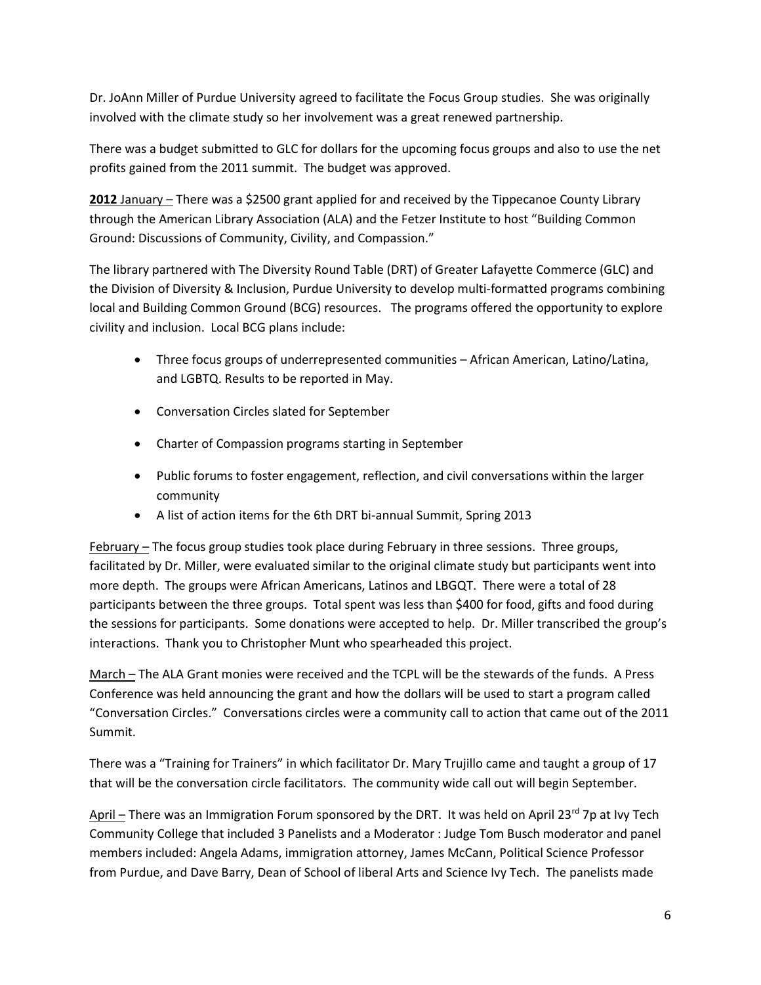Dr. JoAnn Miller of Purdue University agreed to facilitate the Focus Group studies. She was originally involved with the climate study so her involvement was a great renewed partnership.

There was a budget submitted to GLC for dollars for the upcoming focus groups and also to use the net profits gained from the 2011 summit. The budget was approved.

**2012** January – There was a \$2500 grant applied for and received by the Tippecanoe County Library through the American Library Association (ALA) and the Fetzer Institute to host "Building Common Ground: Discussions of Community, Civility, and Compassion."

The library partnered with The Diversity Round Table (DRT) of Greater Lafayette Commerce (GLC) and the Division of Diversity & Inclusion, Purdue University to develop multi-formatted programs combining local and Building Common Ground (BCG) resources. The programs offered the opportunity to explore civility and inclusion.Local BCG plans include:

- Three focus groups of underrepresented communities African American, Latino/Latina, and LGBTQ. Results to be reported in May.
- Conversation Circles slated for September
- Charter of Compassion programs starting in September
- Public forums to foster engagement, reflection, and civil conversations within the larger community
- A list of action items for the 6th DRT bi-annual Summit, Spring 2013

February – The focus group studies took place during February in three sessions. Three groups, facilitated by Dr. Miller, were evaluated similar to the original climate study but participants went into more depth. The groups were African Americans, Latinos and LBGQT. There were a total of 28 participants between the three groups. Total spent was less than \$400 for food, gifts and food during the sessions for participants. Some donations were accepted to help. Dr. Miller transcribed the group's interactions. Thank you to Christopher Munt who spearheaded this project.

March – The ALA Grant monies were received and the TCPL will be the stewards of the funds. A Press Conference was held announcing the grant and how the dollars will be used to start a program called "Conversation Circles." Conversations circles were a community call to action that came out of the 2011 Summit.

There was a "Training for Trainers" in which facilitator Dr. Mary Trujillo came and taught a group of 17 that will be the conversation circle facilitators. The community wide call out will begin September.

April – There was an Immigration Forum sponsored by the DRT. It was held on April 23<sup>rd</sup> 7p at Ivy Tech Community College that included 3 Panelists and a Moderator : Judge Tom Busch moderator and panel members included: Angela Adams, immigration attorney, James McCann, Political Science Professor from Purdue, and Dave Barry, Dean of School of liberal Arts and Science Ivy Tech. The panelists made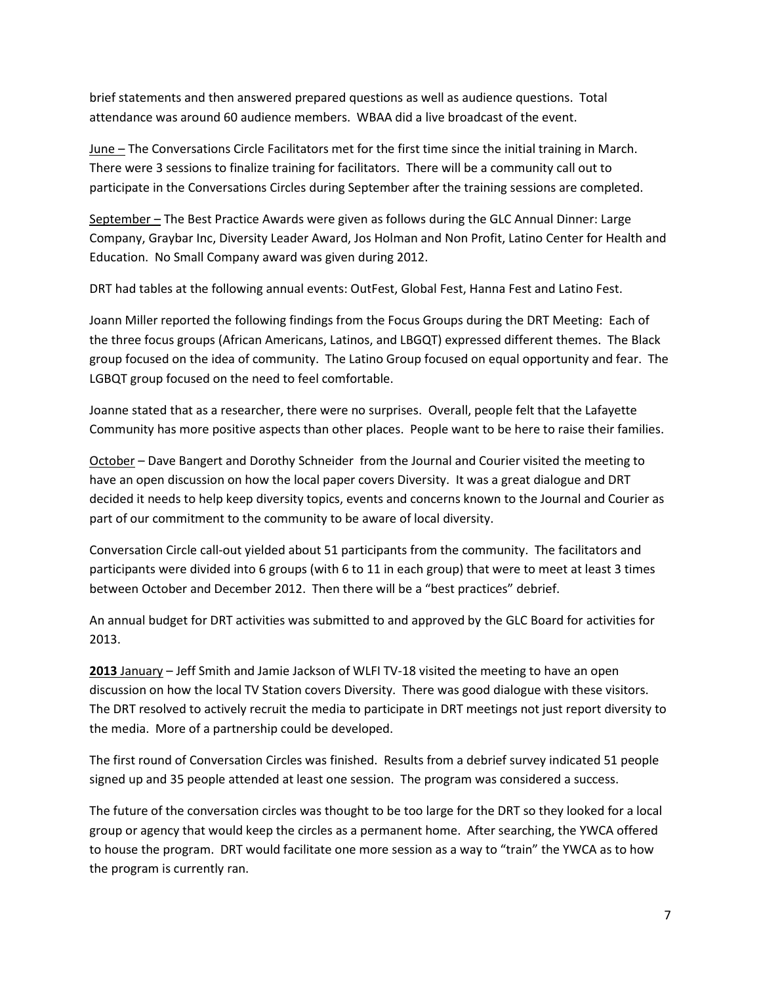brief statements and then answered prepared questions as well as audience questions. Total attendance was around 60 audience members. WBAA did a live broadcast of the event.

June – The Conversations Circle Facilitators met for the first time since the initial training in March. There were 3 sessions to finalize training for facilitators. There will be a community call out to participate in the Conversations Circles during September after the training sessions are completed.

September – The Best Practice Awards were given as follows during the GLC Annual Dinner: Large Company, Graybar Inc, Diversity Leader Award, Jos Holman and Non Profit, Latino Center for Health and Education. No Small Company award was given during 2012.

DRT had tables at the following annual events: OutFest, Global Fest, Hanna Fest and Latino Fest.

Joann Miller reported the following findings from the Focus Groups during the DRT Meeting: Each of the three focus groups (African Americans, Latinos, and LBGQT) expressed different themes. The Black group focused on the idea of community. The Latino Group focused on equal opportunity and fear. The LGBQT group focused on the need to feel comfortable.

Joanne stated that as a researcher, there were no surprises. Overall, people felt that the Lafayette Community has more positive aspects than other places. People want to be here to raise their families.

October – Dave Bangert and Dorothy Schneider from the Journal and Courier visited the meeting to have an open discussion on how the local paper covers Diversity. It was a great dialogue and DRT decided it needs to help keep diversity topics, events and concerns known to the Journal and Courier as part of our commitment to the community to be aware of local diversity.

Conversation Circle call-out yielded about 51 participants from the community. The facilitators and participants were divided into 6 groups (with 6 to 11 in each group) that were to meet at least 3 times between October and December 2012. Then there will be a "best practices" debrief.

An annual budget for DRT activities was submitted to and approved by the GLC Board for activities for 2013.

**2013** January – Jeff Smith and Jamie Jackson of WLFI TV-18 visited the meeting to have an open discussion on how the local TV Station covers Diversity. There was good dialogue with these visitors. The DRT resolved to actively recruit the media to participate in DRT meetings not just report diversity to the media. More of a partnership could be developed.

The first round of Conversation Circles was finished. Results from a debrief survey indicated 51 people signed up and 35 people attended at least one session. The program was considered a success.

The future of the conversation circles was thought to be too large for the DRT so they looked for a local group or agency that would keep the circles as a permanent home. After searching, the YWCA offered to house the program. DRT would facilitate one more session as a way to "train" the YWCA as to how the program is currently ran.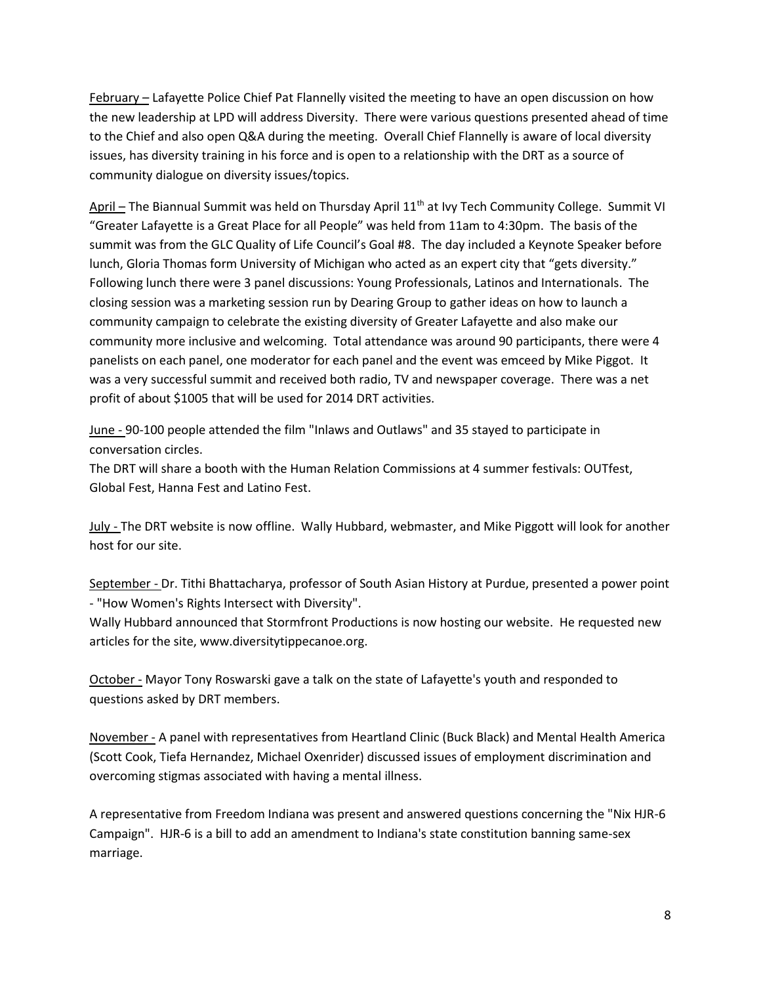February – Lafayette Police Chief Pat Flannelly visited the meeting to have an open discussion on how the new leadership at LPD will address Diversity. There were various questions presented ahead of time to the Chief and also open Q&A during the meeting. Overall Chief Flannelly is aware of local diversity issues, has diversity training in his force and is open to a relationship with the DRT as a source of community dialogue on diversity issues/topics.

April – The Biannual Summit was held on Thursday April 11<sup>th</sup> at Ivy Tech Community College. Summit VI "Greater Lafayette is a Great Place for all People" was held from 11am to 4:30pm. The basis of the summit was from the GLC Quality of Life Council's Goal #8. The day included a Keynote Speaker before lunch, Gloria Thomas form University of Michigan who acted as an expert city that "gets diversity." Following lunch there were 3 panel discussions: Young Professionals, Latinos and Internationals. The closing session was a marketing session run by Dearing Group to gather ideas on how to launch a community campaign to celebrate the existing diversity of Greater Lafayette and also make our community more inclusive and welcoming. Total attendance was around 90 participants, there were 4 panelists on each panel, one moderator for each panel and the event was emceed by Mike Piggot. It was a very successful summit and received both radio, TV and newspaper coverage. There was a net profit of about \$1005 that will be used for 2014 DRT activities.

June - 90-100 people attended the film "Inlaws and Outlaws" and 35 stayed to participate in conversation circles.

The DRT will share a booth with the Human Relation Commissions at 4 summer festivals: OUTfest, Global Fest, Hanna Fest and Latino Fest.

July - The DRT website is now offline. Wally Hubbard, webmaster, and Mike Piggott will look for another host for our site.

September - Dr. Tithi Bhattacharya, professor of South Asian History at Purdue, presented a power point - "How Women's Rights Intersect with Diversity".

Wally Hubbard announced that Stormfront Productions is now hosting our website. He requested new articles for the site, www.diversitytippecanoe.org.

October - Mayor Tony Roswarski gave a talk on the state of Lafayette's youth and responded to questions asked by DRT members.

November - A panel with representatives from Heartland Clinic (Buck Black) and Mental Health America (Scott Cook, Tiefa Hernandez, Michael Oxenrider) discussed issues of employment discrimination and overcoming stigmas associated with having a mental illness.

A representative from Freedom Indiana was present and answered questions concerning the "Nix HJR-6 Campaign". HJR-6 is a bill to add an amendment to Indiana's state constitution banning same-sex marriage.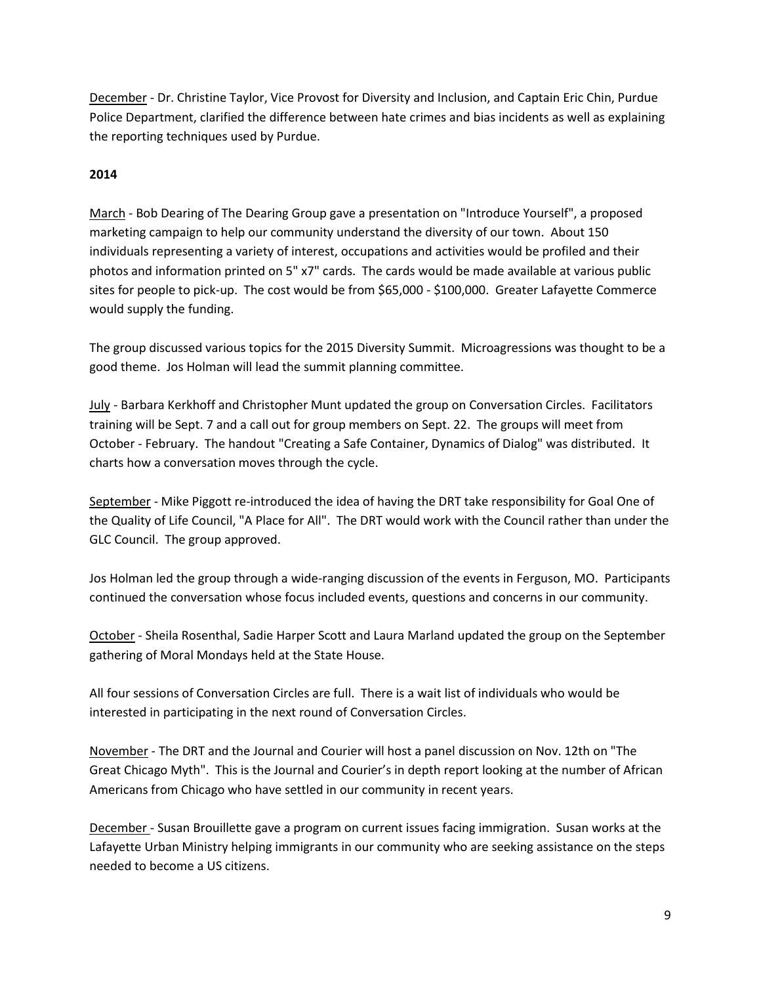December - Dr. Christine Taylor, Vice Provost for Diversity and Inclusion, and Captain Eric Chin, Purdue Police Department, clarified the difference between hate crimes and bias incidents as well as explaining the reporting techniques used by Purdue.

## **2014**

March - Bob Dearing of The Dearing Group gave a presentation on "Introduce Yourself", a proposed marketing campaign to help our community understand the diversity of our town. About 150 individuals representing a variety of interest, occupations and activities would be profiled and their photos and information printed on 5" x7" cards. The cards would be made available at various public sites for people to pick-up. The cost would be from \$65,000 - \$100,000. Greater Lafayette Commerce would supply the funding.

The group discussed various topics for the 2015 Diversity Summit. Microagressions was thought to be a good theme. Jos Holman will lead the summit planning committee.

July - Barbara Kerkhoff and Christopher Munt updated the group on Conversation Circles. Facilitators training will be Sept. 7 and a call out for group members on Sept. 22. The groups will meet from October - February. The handout "Creating a Safe Container, Dynamics of Dialog" was distributed. It charts how a conversation moves through the cycle.

September - Mike Piggott re-introduced the idea of having the DRT take responsibility for Goal One of the Quality of Life Council, "A Place for All". The DRT would work with the Council rather than under the GLC Council. The group approved.

Jos Holman led the group through a wide-ranging discussion of the events in Ferguson, MO. Participants continued the conversation whose focus included events, questions and concerns in our community.

October - Sheila Rosenthal, Sadie Harper Scott and Laura Marland updated the group on the September gathering of Moral Mondays held at the State House.

All four sessions of Conversation Circles are full. There is a wait list of individuals who would be interested in participating in the next round of Conversation Circles.

November - The DRT and the Journal and Courier will host a panel discussion on Nov. 12th on "The Great Chicago Myth". This is the Journal and Courier's in depth report looking at the number of African Americans from Chicago who have settled in our community in recent years.

December - Susan Brouillette gave a program on current issues facing immigration. Susan works at the Lafayette Urban Ministry helping immigrants in our community who are seeking assistance on the steps needed to become a US citizens.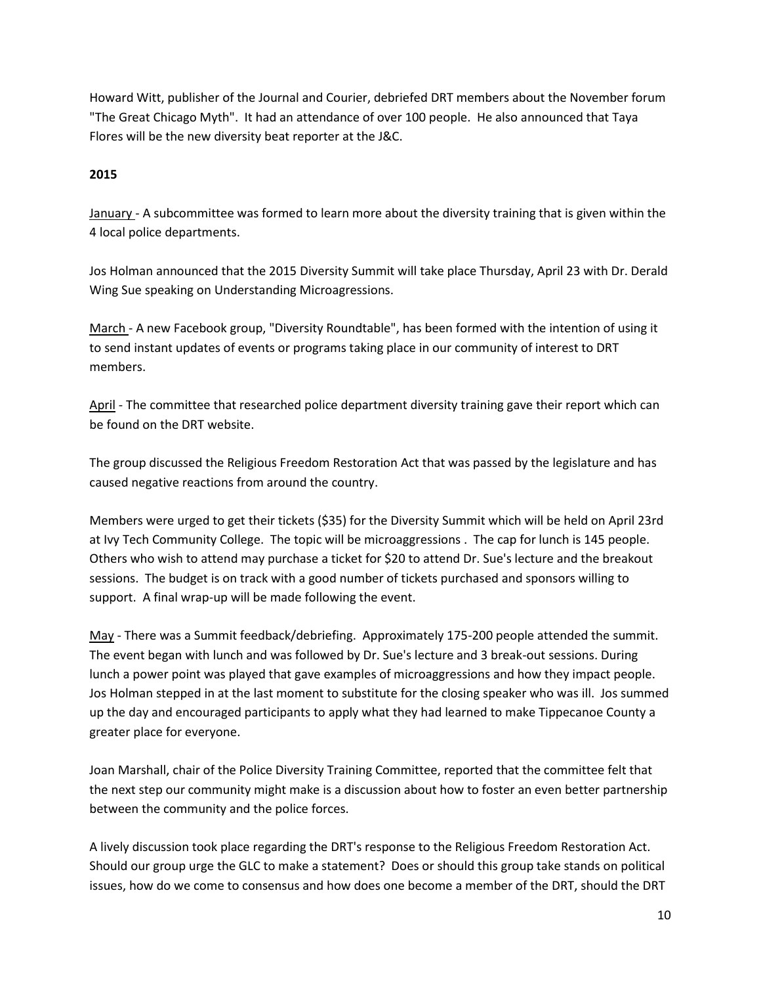Howard Witt, publisher of the Journal and Courier, debriefed DRT members about the November forum "The Great Chicago Myth". It had an attendance of over 100 people. He also announced that Taya Flores will be the new diversity beat reporter at the J&C.

## **2015**

January - A subcommittee was formed to learn more about the diversity training that is given within the 4 local police departments.

Jos Holman announced that the 2015 Diversity Summit will take place Thursday, April 23 with Dr. Derald Wing Sue speaking on Understanding Microagressions.

March - A new Facebook group, "Diversity Roundtable", has been formed with the intention of using it to send instant updates of events or programs taking place in our community of interest to DRT members.

April - The committee that researched police department diversity training gave their report which can be found on the DRT website.

The group discussed the Religious Freedom Restoration Act that was passed by the legislature and has caused negative reactions from around the country.

Members were urged to get their tickets (\$35) for the Diversity Summit which will be held on April 23rd at Ivy Tech Community College. The topic will be microaggressions . The cap for lunch is 145 people. Others who wish to attend may purchase a ticket for \$20 to attend Dr. Sue's lecture and the breakout sessions. The budget is on track with a good number of tickets purchased and sponsors willing to support. A final wrap-up will be made following the event.

May - There was a Summit feedback/debriefing. Approximately 175-200 people attended the summit. The event began with lunch and was followed by Dr. Sue's lecture and 3 break-out sessions. During lunch a power point was played that gave examples of microaggressions and how they impact people. Jos Holman stepped in at the last moment to substitute for the closing speaker who was ill. Jos summed up the day and encouraged participants to apply what they had learned to make Tippecanoe County a greater place for everyone.

Joan Marshall, chair of the Police Diversity Training Committee, reported that the committee felt that the next step our community might make is a discussion about how to foster an even better partnership between the community and the police forces.

A lively discussion took place regarding the DRT's response to the Religious Freedom Restoration Act. Should our group urge the GLC to make a statement? Does or should this group take stands on political issues, how do we come to consensus and how does one become a member of the DRT, should the DRT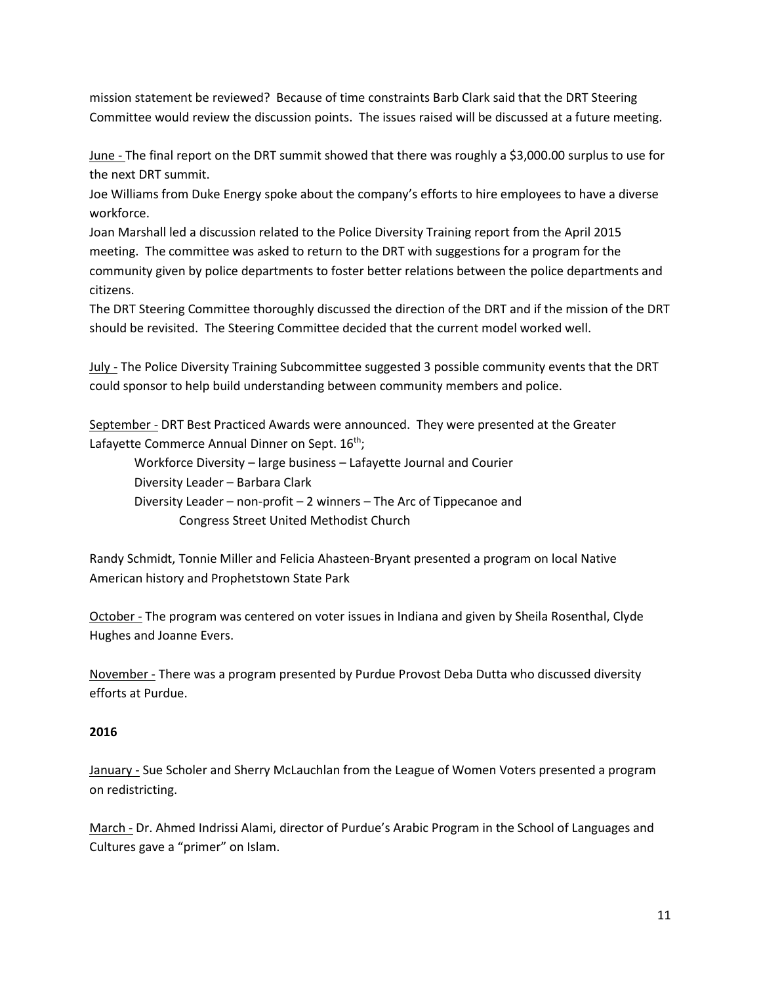mission statement be reviewed? Because of time constraints Barb Clark said that the DRT Steering Committee would review the discussion points. The issues raised will be discussed at a future meeting.

June - The final report on the DRT summit showed that there was roughly a \$3,000.00 surplus to use for the next DRT summit.

Joe Williams from Duke Energy spoke about the company's efforts to hire employees to have a diverse workforce.

Joan Marshall led a discussion related to the Police Diversity Training report from the April 2015 meeting. The committee was asked to return to the DRT with suggestions for a program for the community given by police departments to foster better relations between the police departments and citizens.

The DRT Steering Committee thoroughly discussed the direction of the DRT and if the mission of the DRT should be revisited. The Steering Committee decided that the current model worked well.

July - The Police Diversity Training Subcommittee suggested 3 possible community events that the DRT could sponsor to help build understanding between community members and police.

September - DRT Best Practiced Awards were announced. They were presented at the Greater Lafayette Commerce Annual Dinner on Sept. 16<sup>th</sup>;

Workforce Diversity – large business – Lafayette Journal and Courier Diversity Leader – Barbara Clark Diversity Leader – non-profit – 2 winners – The Arc of Tippecanoe and Congress Street United Methodist Church

Randy Schmidt, Tonnie Miller and Felicia Ahasteen-Bryant presented a program on local Native American history and Prophetstown State Park

October - The program was centered on voter issues in Indiana and given by Sheila Rosenthal, Clyde Hughes and Joanne Evers.

November - There was a program presented by Purdue Provost Deba Dutta who discussed diversity efforts at Purdue.

# **2016**

**January - Sue Scholer and Sherry McLauchlan from the League of Women Voters presented a program** on redistricting.

March - Dr. Ahmed Indrissi Alami, director of Purdue's Arabic Program in the School of Languages and Cultures gave a "primer" on Islam.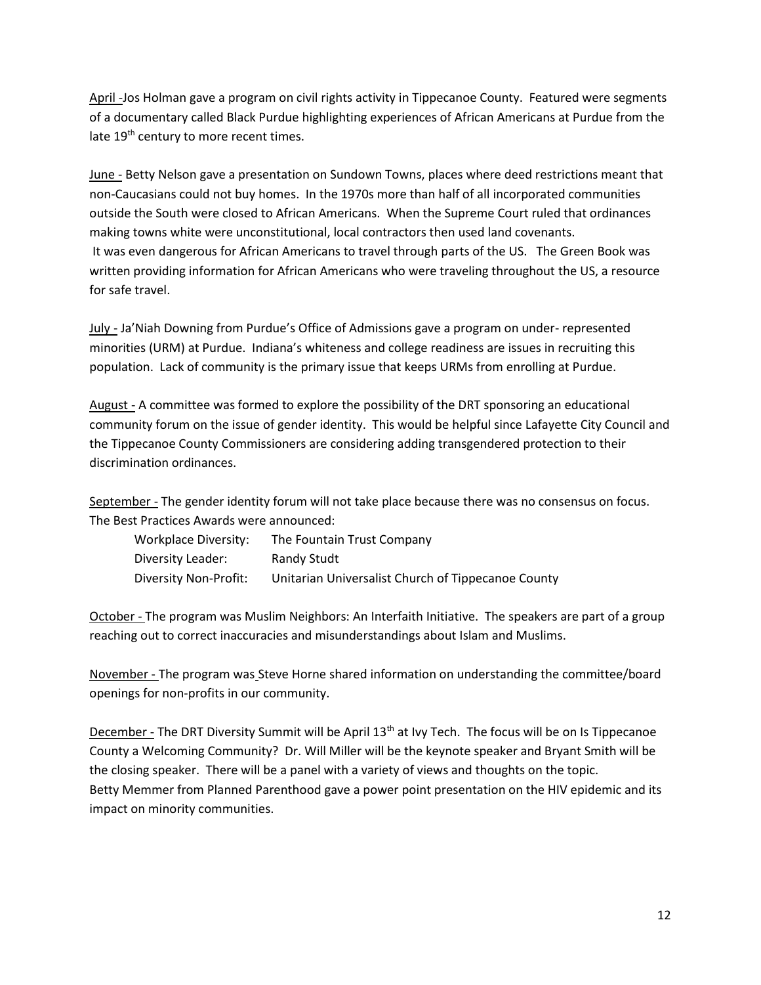April -Jos Holman gave a program on civil rights activity in Tippecanoe County. Featured were segments of a documentary called Black Purdue highlighting experiences of African Americans at Purdue from the late 19<sup>th</sup> century to more recent times.

June - Betty Nelson gave a presentation on Sundown Towns, places where deed restrictions meant that non-Caucasians could not buy homes. In the 1970s more than half of all incorporated communities outside the South were closed to African Americans. When the Supreme Court ruled that ordinances making towns white were unconstitutional, local contractors then used land covenants. It was even dangerous for African Americans to travel through parts of the US. The Green Book was written providing information for African Americans who were traveling throughout the US, a resource for safe travel.

July - Ja'Niah Downing from Purdue's Office of Admissions gave a program on under- represented minorities (URM) at Purdue. Indiana's whiteness and college readiness are issues in recruiting this population. Lack of community is the primary issue that keeps URMs from enrolling at Purdue.

August - A committee was formed to explore the possibility of the DRT sponsoring an educational community forum on the issue of gender identity. This would be helpful since Lafayette City Council and the Tippecanoe County Commissioners are considering adding transgendered protection to their discrimination ordinances.

September - The gender identity forum will not take place because there was no consensus on focus. The Best Practices Awards were announced:

| Workplace Diversity:  | The Fountain Trust Company                         |
|-----------------------|----------------------------------------------------|
| Diversity Leader:     | Randy Studt                                        |
| Diversity Non-Profit: | Unitarian Universalist Church of Tippecanoe County |

October - The program was Muslim Neighbors: An Interfaith Initiative. The speakers are part of a group reaching out to correct inaccuracies and misunderstandings about Islam and Muslims.

November - The program was Steve Horne shared information on understanding the committee/board openings for non-profits in our community.

December - The DRT Diversity Summit will be April 13<sup>th</sup> at Ivy Tech. The focus will be on Is Tippecanoe County a Welcoming Community? Dr. Will Miller will be the keynote speaker and Bryant Smith will be the closing speaker. There will be a panel with a variety of views and thoughts on the topic. Betty Memmer from Planned Parenthood gave a power point presentation on the HIV epidemic and its impact on minority communities.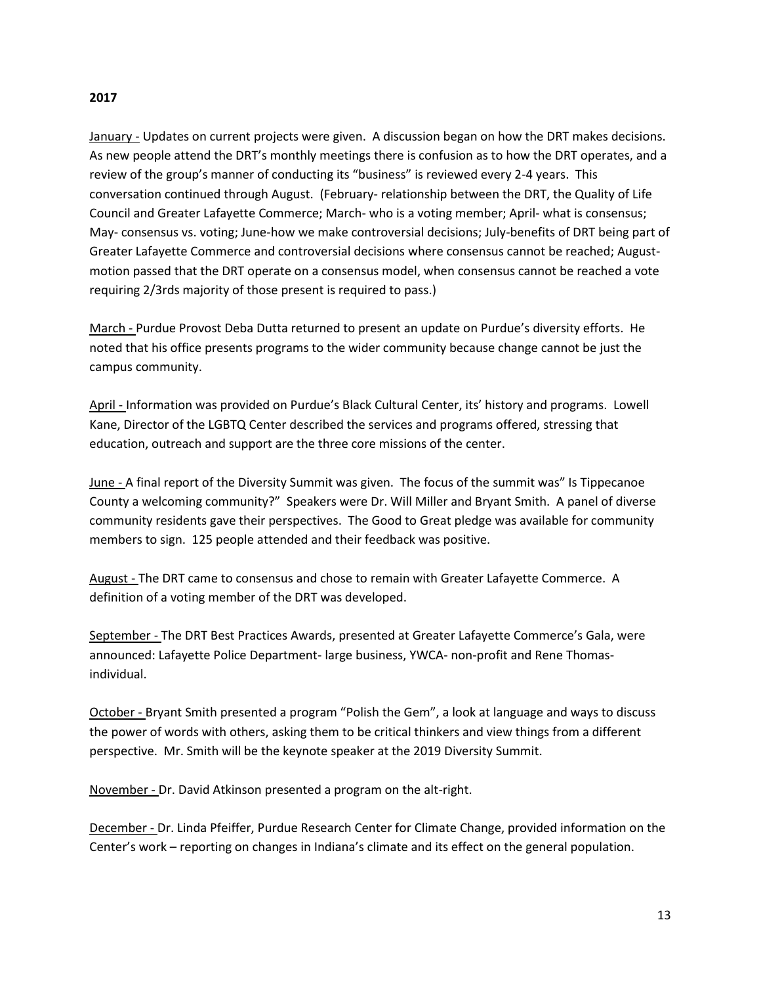#### **2017**

January - Updates on current projects were given. A discussion began on how the DRT makes decisions. As new people attend the DRT's monthly meetings there is confusion as to how the DRT operates, and a review of the group's manner of conducting its "business" is reviewed every 2-4 years. This conversation continued through August. (February- relationship between the DRT, the Quality of Life Council and Greater Lafayette Commerce; March- who is a voting member; April- what is consensus; May- consensus vs. voting; June-how we make controversial decisions; July-benefits of DRT being part of Greater Lafayette Commerce and controversial decisions where consensus cannot be reached; Augustmotion passed that the DRT operate on a consensus model, when consensus cannot be reached a vote requiring 2/3rds majority of those present is required to pass.)

March - Purdue Provost Deba Dutta returned to present an update on Purdue's diversity efforts. He noted that his office presents programs to the wider community because change cannot be just the campus community.

April - Information was provided on Purdue's Black Cultural Center, its' history and programs. Lowell Kane, Director of the LGBTQ Center described the services and programs offered, stressing that education, outreach and support are the three core missions of the center.

**June -** A final report of the Diversity Summit was given. The focus of the summit was" Is Tippecanoe County a welcoming community?" Speakers were Dr. Will Miller and Bryant Smith. A panel of diverse community residents gave their perspectives. The Good to Great pledge was available for community members to sign. 125 people attended and their feedback was positive.

August - The DRT came to consensus and chose to remain with Greater Lafayette Commerce. A definition of a voting member of the DRT was developed.

September - The DRT Best Practices Awards, presented at Greater Lafayette Commerce's Gala, were announced: Lafayette Police Department- large business, YWCA- non-profit and Rene Thomasindividual.

October - Bryant Smith presented a program "Polish the Gem", a look at language and ways to discuss the power of words with others, asking them to be critical thinkers and view things from a different perspective. Mr. Smith will be the keynote speaker at the 2019 Diversity Summit.

November - Dr. David Atkinson presented a program on the alt-right.

December - Dr. Linda Pfeiffer, Purdue Research Center for Climate Change, provided information on the Center's work – reporting on changes in Indiana's climate and its effect on the general population.